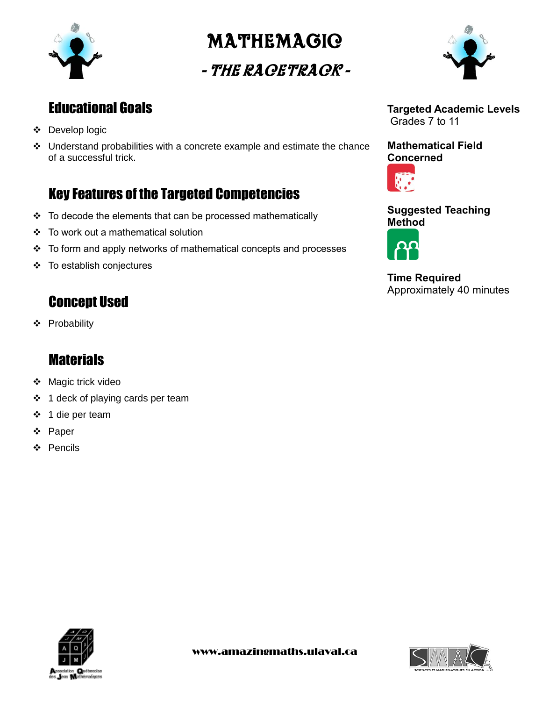

# MatheMagic

# - The Racetrack -



### Educational Goals

- Develop logic
- Understand probabilities with a concrete example and estimate the chance of a successful trick.

### Key Features of the Targeted Competencies

- $\div$  To decode the elements that can be processed mathematically
- To work out a mathematical solution
- To form and apply networks of mathematical concepts and processes
- To establish conjectures

### Concept Used

Probability

### **Materials**

- ❖ Magic trick video
- ❖ 1 deck of playing cards per team
- 1 die per team
- Paper
- Pencils



#### **Mathematical Field Concerned**



#### **Suggested Teaching Method**



**Time Required** Approximately 40 minutes



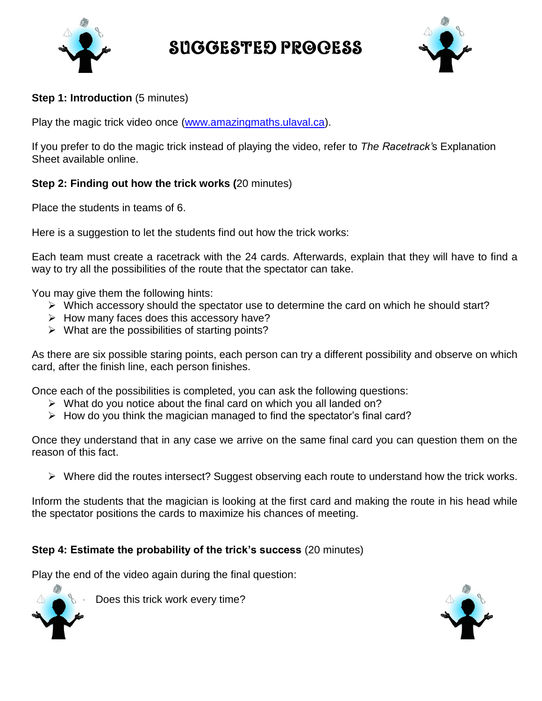

Suggested Process



#### **Step 1: Introduction** (5 minutes)

Play the magic trick video once [\(www.amazingmaths.ulaval.ca\)](http://www.amazingmaths.ulaval.ca/).

If you prefer to do the magic trick instead of playing the video, refer to *The Racetrack'*s Explanation Sheet available online.

#### **Step 2: Finding out how the trick works (**20 minutes)

Place the students in teams of 6.

Here is a suggestion to let the students find out how the trick works:

Each team must create a racetrack with the 24 cards. Afterwards, explain that they will have to find a way to try all the possibilities of the route that the spectator can take.

You may give them the following hints:

- $\triangleright$  Which accessory should the spectator use to determine the card on which he should start?
- $\triangleright$  How many faces does this accessory have?
- $\triangleright$  What are the possibilities of starting points?

As there are six possible staring points, each person can try a different possibility and observe on which card, after the finish line, each person finishes.

Once each of the possibilities is completed, you can ask the following questions:

- $\triangleright$  What do you notice about the final card on which you all landed on?
- $\triangleright$  How do you think the magician managed to find the spectator's final card?

Once they understand that in any case we arrive on the same final card you can question them on the reason of this fact.

Where did the routes intersect? Suggest observing each route to understand how the trick works.

Inform the students that the magician is looking at the first card and making the route in his head while the spectator positions the cards to maximize his chances of meeting.

#### **Step 4: Estimate the probability of the trick's success** (20 minutes)

Play the end of the video again during the final question:



Does this trick work every time?